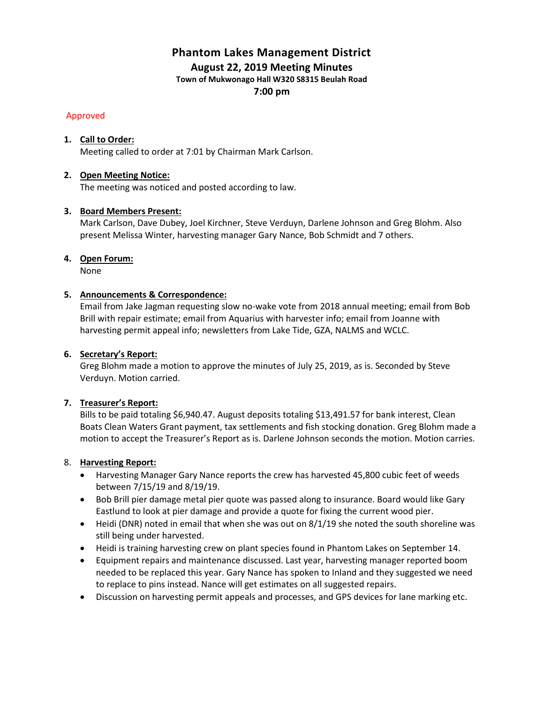# **Phantom Lakes Management District August 22, 2019 Meeting Minutes**

**Town of Mukwonago Hall W320 S8315 Beulah Road**

**7:00 pm**

## Approved

# **1. Call to Order:**

Meeting called to order at 7:01 by Chairman Mark Carlson.

# **2. Open Meeting Notice:**

The meeting was noticed and posted according to law.

## **3. Board Members Present:**

Mark Carlson, Dave Dubey, Joel Kirchner, Steve Verduyn, Darlene Johnson and Greg Blohm. Also present Melissa Winter, harvesting manager Gary Nance, Bob Schmidt and 7 others.

## **4. Open Forum:**

None

## **5. Announcements & Correspondence:**

Email from Jake Jagman requesting slow no-wake vote from 2018 annual meeting; email from Bob Brill with repair estimate; email from Aquarius with harvester info; email from Joanne with harvesting permit appeal info; newsletters from Lake Tide, GZA, NALMS and WCLC.

# **6. Secretary's Report:**

Greg Blohm made a motion to approve the minutes of July 25, 2019, as is. Seconded by Steve Verduyn. Motion carried.

## **7. Treasurer's Report:**

Bills to be paid totaling \$6,940.47. August deposits totaling \$13,491.57 for bank interest, Clean Boats Clean Waters Grant payment, tax settlements and fish stocking donation. Greg Blohm made a motion to accept the Treasurer's Report as is. Darlene Johnson seconds the motion. Motion carries.

## 8. **Harvesting Report:**

- Harvesting Manager Gary Nance reports the crew has harvested 45,800 cubic feet of weeds between 7/15/19 and 8/19/19.
- Bob Brill pier damage metal pier quote was passed along to insurance. Board would like Gary Eastlund to look at pier damage and provide a quote for fixing the current wood pier.
- Heidi (DNR) noted in email that when she was out on 8/1/19 she noted the south shoreline was still being under harvested.
- Heidi is training harvesting crew on plant species found in Phantom Lakes on September 14.
- Equipment repairs and maintenance discussed. Last year, harvesting manager reported boom needed to be replaced this year. Gary Nance has spoken to Inland and they suggested we need to replace to pins instead. Nance will get estimates on all suggested repairs.
- Discussion on harvesting permit appeals and processes, and GPS devices for lane marking etc.